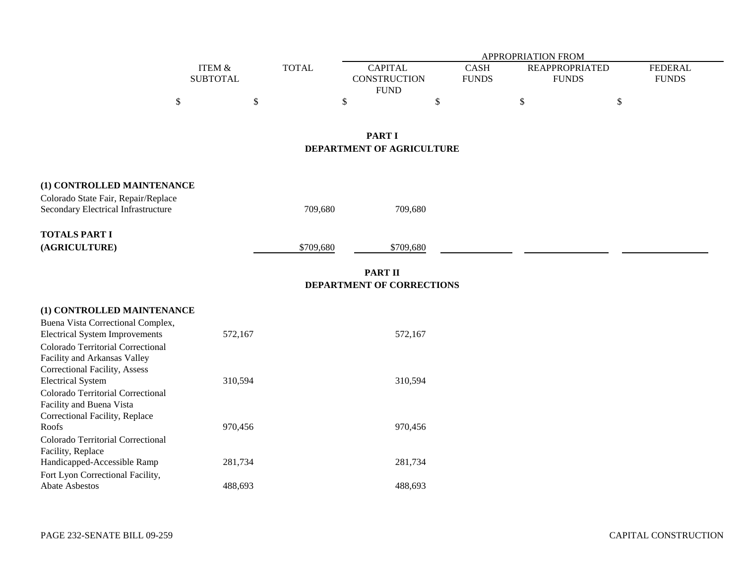|                                                                                                                                                                               |                           |              |                                                      | APPROPRIATION FROM          |                                       |                                |
|-------------------------------------------------------------------------------------------------------------------------------------------------------------------------------|---------------------------|--------------|------------------------------------------------------|-----------------------------|---------------------------------------|--------------------------------|
|                                                                                                                                                                               | ITEM &<br><b>SUBTOTAL</b> | <b>TOTAL</b> | <b>CAPITAL</b><br><b>CONSTRUCTION</b><br><b>FUND</b> | <b>CASH</b><br><b>FUNDS</b> | <b>REAPPROPRIATED</b><br><b>FUNDS</b> | <b>FEDERAL</b><br><b>FUNDS</b> |
| \$                                                                                                                                                                            |                           | \$           | \$                                                   | \$                          | $\$\,$                                | \$                             |
|                                                                                                                                                                               |                           |              | <b>PART I</b><br>DEPARTMENT OF AGRICULTURE           |                             |                                       |                                |
| (1) CONTROLLED MAINTENANCE<br>Colorado State Fair, Repair/Replace<br>Secondary Electrical Infrastructure                                                                      |                           | 709,680      | 709,680                                              |                             |                                       |                                |
| <b>TOTALS PART I</b><br>(AGRICULTURE)                                                                                                                                         |                           | \$709,680    | \$709,680                                            |                             |                                       |                                |
|                                                                                                                                                                               |                           |              | <b>PART II</b><br>DEPARTMENT OF CORRECTIONS          |                             |                                       |                                |
| (1) CONTROLLED MAINTENANCE<br>Buena Vista Correctional Complex,<br><b>Electrical System Improvements</b><br>Colorado Territorial Correctional<br>Facility and Arkansas Valley | 572,167                   |              | 572,167                                              |                             |                                       |                                |
| Correctional Facility, Assess<br><b>Electrical System</b><br>Colorado Territorial Correctional<br>Facility and Buena Vista<br>Correctional Facility, Replace                  | 310,594                   |              | 310,594                                              |                             |                                       |                                |
| Roofs<br>Colorado Territorial Correctional<br>Facility, Replace                                                                                                               | 970,456                   |              | 970,456                                              |                             |                                       |                                |
| Handicapped-Accessible Ramp<br>Fort Lyon Correctional Facility,                                                                                                               | 281,734                   |              | 281,734                                              |                             |                                       |                                |
| Abate Asbestos                                                                                                                                                                | 488,693                   |              | 488,693                                              |                             |                                       |                                |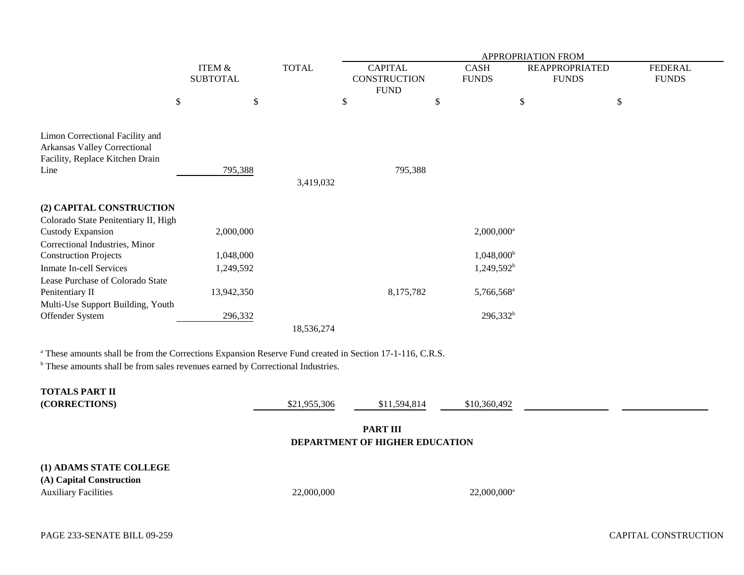|                                                                                                            |                           |              | APPROPRIATION FROM                                   |                             |                                       |                                |  |  |  |
|------------------------------------------------------------------------------------------------------------|---------------------------|--------------|------------------------------------------------------|-----------------------------|---------------------------------------|--------------------------------|--|--|--|
|                                                                                                            | ITEM &<br><b>SUBTOTAL</b> | <b>TOTAL</b> | <b>CAPITAL</b><br><b>CONSTRUCTION</b><br><b>FUND</b> | <b>CASH</b><br><b>FUNDS</b> | <b>REAPPROPRIATED</b><br><b>FUNDS</b> | <b>FEDERAL</b><br><b>FUNDS</b> |  |  |  |
|                                                                                                            | \$<br>\$                  |              | \$                                                   | \$                          | \$<br>\$                              |                                |  |  |  |
| Limon Correctional Facility and<br>Arkansas Valley Correctional<br>Facility, Replace Kitchen Drain<br>Line | 795,388                   | 3,419,032    | 795,388                                              |                             |                                       |                                |  |  |  |
| (2) CAPITAL CONSTRUCTION                                                                                   |                           |              |                                                      |                             |                                       |                                |  |  |  |
| Colorado State Penitentiary II, High<br>Custody Expansion<br>Correctional Industries, Minor                | 2,000,000                 |              |                                                      | $2,000,000$ <sup>a</sup>    |                                       |                                |  |  |  |
| <b>Construction Projects</b>                                                                               | 1,048,000                 |              |                                                      | $1,048,000^{\rm b}$         |                                       |                                |  |  |  |
| <b>Inmate In-cell Services</b>                                                                             | 1,249,592                 |              |                                                      | $1,249,592^b$               |                                       |                                |  |  |  |
| Lease Purchase of Colorado State<br>Penitentiary II<br>Multi-Use Support Building, Youth                   | 13,942,350                |              | 8,175,782                                            | 5,766,568 <sup>a</sup>      |                                       |                                |  |  |  |
| Offender System                                                                                            | 296,332                   |              |                                                      | $296,332^b$                 |                                       |                                |  |  |  |
|                                                                                                            |                           | 18,536,274   |                                                      |                             |                                       |                                |  |  |  |

a These amounts shall be from the Corrections Expansion Reserve Fund created in Section 17-1-116, C.R.S.

<sup>b</sup> These amounts shall be from sales revenues earned by Correctional Industries.

| <b>TOTALS PART II</b><br>(CORRECTIONS)                                             | \$21,955,306 | \$11,594,814 | \$10,360,492              |  |  |  |  |  |
|------------------------------------------------------------------------------------|--------------|--------------|---------------------------|--|--|--|--|--|
| <b>PART III</b><br>DEPARTMENT OF HIGHER EDUCATION                                  |              |              |                           |  |  |  |  |  |
| (1) ADAMS STATE COLLEGE<br>(A) Capital Construction<br><b>Auxiliary Facilities</b> | 22,000,000   |              | $22,000,000$ <sup>a</sup> |  |  |  |  |  |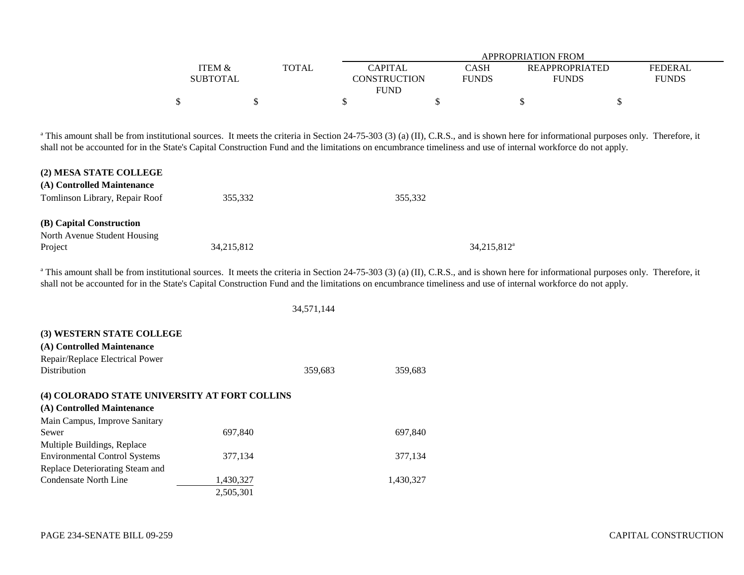|                   |              |                | APPROPRIATION FROM |                       |                |  |  |  |  |  |
|-------------------|--------------|----------------|--------------------|-----------------------|----------------|--|--|--|--|--|
| <b>ITEM &amp;</b> | <b>TOTAL</b> | <b>CAPITAL</b> | CASH               | <b>REAPPROPRIATED</b> | <b>FEDERAL</b> |  |  |  |  |  |
| <b>SUBTOTAL</b>   |              | CONSTRUCTION   | <b>FUNDS</b>       | <b>FUNDS</b>          | <b>FUNDS</b>   |  |  |  |  |  |
|                   |              | <b>FUND</b>    |                    |                       |                |  |  |  |  |  |
|                   |              |                |                    |                       |                |  |  |  |  |  |

<sup>a</sup> This amount shall be from institutional sources. It meets the criteria in Section 24-75-303 (3) (a) (II), C.R.S., and is shown here for informational purposes only. Therefore, it shall not be accounted for in the State's Capital Construction Fund and the limitations on encumbrance timeliness and use of internal workforce do not apply.

| (2) MESA STATE COLLEGE         |            |                |
|--------------------------------|------------|----------------|
| (A) Controlled Maintenance     |            |                |
| Tomlinson Library, Repair Roof | 355,332    | 355,332        |
|                                |            |                |
| (B) Capital Construction       |            |                |
| North Avenue Student Housing   |            |                |
| Project                        | 34,215,812 | $34,215,812^a$ |

<sup>a</sup> This amount shall be from institutional sources. It meets the criteria in Section 24-75-303 (3) (a) (II), C.R.S., and is shown here for informational purposes only. Therefore, it shall not be accounted for in the State's Capital Construction Fund and the limitations on encumbrance timeliness and use of internal workforce do not apply.

34,571,144

| (3) WESTERN STATE COLLEGE                     |           |         |           |
|-----------------------------------------------|-----------|---------|-----------|
| (A) Controlled Maintenance                    |           |         |           |
| Repair/Replace Electrical Power               |           |         |           |
| <b>Distribution</b>                           |           | 359,683 | 359,683   |
|                                               |           |         |           |
| (4) COLORADO STATE UNIVERSITY AT FORT COLLINS |           |         |           |
| (A) Controlled Maintenance                    |           |         |           |
| Main Campus, Improve Sanitary                 |           |         |           |
| Sewer                                         | 697.840   |         | 697,840   |
| Multiple Buildings, Replace                   |           |         |           |
| <b>Environmental Control Systems</b>          | 377,134   |         | 377,134   |
| Replace Deteriorating Steam and               |           |         |           |
| Condensate North Line                         | 1,430,327 |         | 1,430,327 |
|                                               | 2.505.301 |         |           |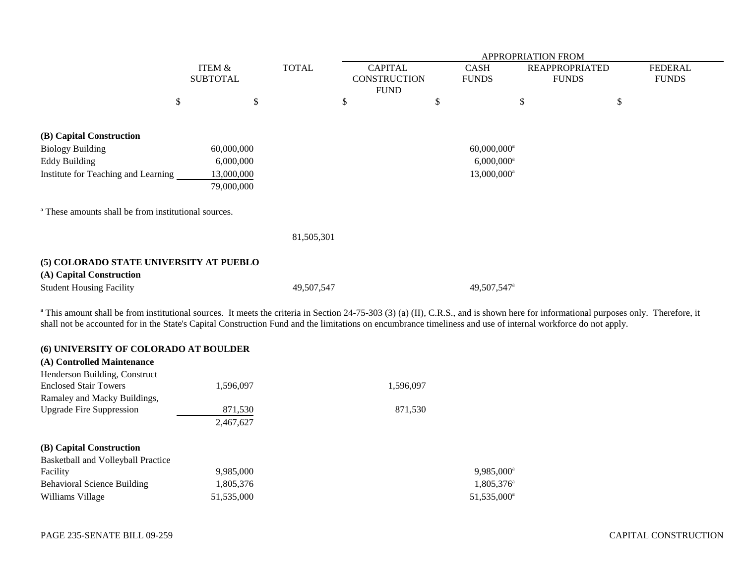|                                                                 |                                      |            |              |                         | <b>APPROPRIATION FROM</b> |                         |                       |    |                |  |  |
|-----------------------------------------------------------------|--------------------------------------|------------|--------------|-------------------------|---------------------------|-------------------------|-----------------------|----|----------------|--|--|
|                                                                 | <b>ITEM &amp;</b><br><b>SUBTOTAL</b> |            | <b>TOTAL</b> | <b>CAPITAL</b>          |                           | <b>CASH</b>             | <b>REAPPROPRIATED</b> |    | <b>FEDERAL</b> |  |  |
|                                                                 |                                      |            |              |                         | <b>CONSTRUCTION</b>       | <b>FUNDS</b>            | <b>FUNDS</b>          |    | <b>FUNDS</b>   |  |  |
|                                                                 |                                      |            |              |                         | <b>FUND</b>               |                         |                       |    |                |  |  |
|                                                                 | \$                                   | \$         |              | \$                      | \$                        |                         | \$                    | \$ |                |  |  |
|                                                                 |                                      |            |              |                         |                           |                         |                       |    |                |  |  |
| (B) Capital Construction                                        |                                      |            |              |                         |                           |                         |                       |    |                |  |  |
| <b>Biology Building</b>                                         | 60,000,000                           |            |              |                         | $60,000,000$ <sup>a</sup> |                         |                       |    |                |  |  |
| <b>Eddy Building</b>                                            |                                      | 6,000,000  |              |                         | $6,000,000$ <sup>a</sup>  |                         |                       |    |                |  |  |
| Institute for Teaching and Learning                             |                                      | 13,000,000 |              | 13,000,000 <sup>a</sup> |                           |                         |                       |    |                |  |  |
|                                                                 |                                      | 79,000,000 |              |                         |                           |                         |                       |    |                |  |  |
|                                                                 |                                      |            |              |                         |                           |                         |                       |    |                |  |  |
| <sup>a</sup> These amounts shall be from institutional sources. |                                      |            |              |                         |                           |                         |                       |    |                |  |  |
|                                                                 |                                      |            | 81,505,301   |                         |                           |                         |                       |    |                |  |  |
|                                                                 |                                      |            |              |                         |                           |                         |                       |    |                |  |  |
| (5) COLORADO STATE UNIVERSITY AT PUEBLO                         |                                      |            |              |                         |                           |                         |                       |    |                |  |  |
| (A) Capital Construction                                        |                                      |            |              |                         |                           |                         |                       |    |                |  |  |
| <b>Student Housing Facility</b>                                 |                                      |            | 49,507,547   |                         |                           | 49,507,547 <sup>a</sup> |                       |    |                |  |  |
|                                                                 |                                      |            |              |                         |                           |                         |                       |    |                |  |  |

<sup>a</sup> This amount shall be from institutional sources. It meets the criteria in Section 24-75-303 (3) (a) (II), C.R.S., and is shown here for informational purposes only. Therefore, it shall not be accounted for in the State's Capital Construction Fund and the limitations on encumbrance timeliness and use of internal workforce do not apply.

| (6) UNIVERSITY OF COLORADO AT BOULDER<br>(A) Controlled Maintenance |            |                        |
|---------------------------------------------------------------------|------------|------------------------|
| Henderson Building, Construct                                       |            |                        |
| <b>Enclosed Stair Towers</b>                                        | 1,596,097  | 1,596,097              |
| Ramaley and Macky Buildings,                                        |            |                        |
| <b>Upgrade Fire Suppression</b>                                     | 871,530    | 871,530                |
|                                                                     | 2,467,627  |                        |
| (B) Capital Construction                                            |            |                        |
| Basketball and Volleyball Practice                                  |            |                        |
| Facility                                                            | 9,985,000  | 9,985,000 <sup>*</sup> |
| <b>Behavioral Science Building</b>                                  | 1,805,376  | 1,805,376              |
| Williams Village                                                    | 51,535,000 | 51,535,000             |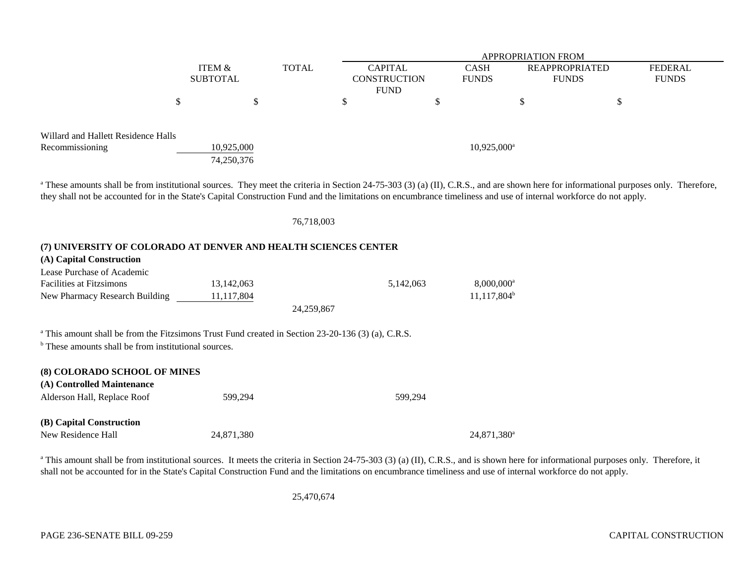|                                     |                 |              | <b>APPROPRIATION FROM</b> |   |                           |                       |  |                |
|-------------------------------------|-----------------|--------------|---------------------------|---|---------------------------|-----------------------|--|----------------|
|                                     | ITEM &          | <b>TOTAL</b> | <b>CAPITAL</b>            |   | <b>CASH</b>               | <b>REAPPROPRIATED</b> |  | <b>FEDERAL</b> |
|                                     | <b>SUBTOTAL</b> |              | <b>CONSTRUCTION</b>       |   | <b>FUNDS</b>              | <b>FUNDS</b>          |  | <b>FUNDS</b>   |
|                                     |                 |              | <b>FUND</b>               |   |                           |                       |  |                |
|                                     |                 |              |                           | Φ |                           |                       |  |                |
|                                     |                 |              |                           |   |                           |                       |  |                |
|                                     |                 |              |                           |   |                           |                       |  |                |
| Willard and Hallett Residence Halls |                 |              |                           |   |                           |                       |  |                |
| Recommissioning                     | 10,925,000      |              |                           |   | $10,925,000^{\mathrm{a}}$ |                       |  |                |
|                                     | 74,250,376      |              |                           |   |                           |                       |  |                |

<sup>a</sup> These amounts shall be from institutional sources. They meet the criteria in Section 24-75-303 (3) (a) (II), C.R.S., and are shown here for informational purposes only. Therefore, they shall not be accounted for in the State's Capital Construction Fund and the limitations on encumbrance timeliness and use of internal workforce do not apply.

#### 76,718,003

# **(7) UNIVERSITY OF COLORADO AT DENVER AND HEALTH SCIENCES CENTER**

| (A) Capital Construction                                                                                      |            |            |           |                          |  |  |  |  |  |  |  |  |
|---------------------------------------------------------------------------------------------------------------|------------|------------|-----------|--------------------------|--|--|--|--|--|--|--|--|
| Lease Purchase of Academic                                                                                    |            |            |           |                          |  |  |  |  |  |  |  |  |
| <b>Facilities at Fitzsimons</b>                                                                               | 13,142,063 |            | 5,142,063 | $8,000,000$ <sup>a</sup> |  |  |  |  |  |  |  |  |
| New Pharmacy Research Building                                                                                | 11,117,804 |            |           | $11,117,804^b$           |  |  |  |  |  |  |  |  |
|                                                                                                               |            | 24,259,867 |           |                          |  |  |  |  |  |  |  |  |
| <sup>a</sup> This amount shall be from the Fitzsimons Trust Fund created in Section 23-20-136 (3) (a), C.R.S. |            |            |           |                          |  |  |  |  |  |  |  |  |
| <sup>b</sup> These amounts shall be from institutional sources.                                               |            |            |           |                          |  |  |  |  |  |  |  |  |
| (8) COLORADO SCHOOL OF MINES                                                                                  |            |            |           |                          |  |  |  |  |  |  |  |  |
| (A) Controlled Maintenance                                                                                    |            |            |           |                          |  |  |  |  |  |  |  |  |
| Alderson Hall, Replace Roof                                                                                   | 599.294    |            | 599.294   |                          |  |  |  |  |  |  |  |  |
| (B) Capital Construction                                                                                      |            |            |           |                          |  |  |  |  |  |  |  |  |

New Residence Hall 24,871,380 24,871,380 24,871,380 24,871,380 24,871,380 24,871,380 24,871,380 24,871,380 24,871,380 24,871,380 24,871,380 24,871,380 24,871,380 24,871,380 24,871,380 24,871,380 24,871,380 24,871,380 24,87

<sup>a</sup> This amount shall be from institutional sources. It meets the criteria in Section 24-75-303 (3) (a) (II), C.R.S., and is shown here for informational purposes only. Therefore, it shall not be accounted for in the State's Capital Construction Fund and the limitations on encumbrance timeliness and use of internal workforce do not apply.

25,470,674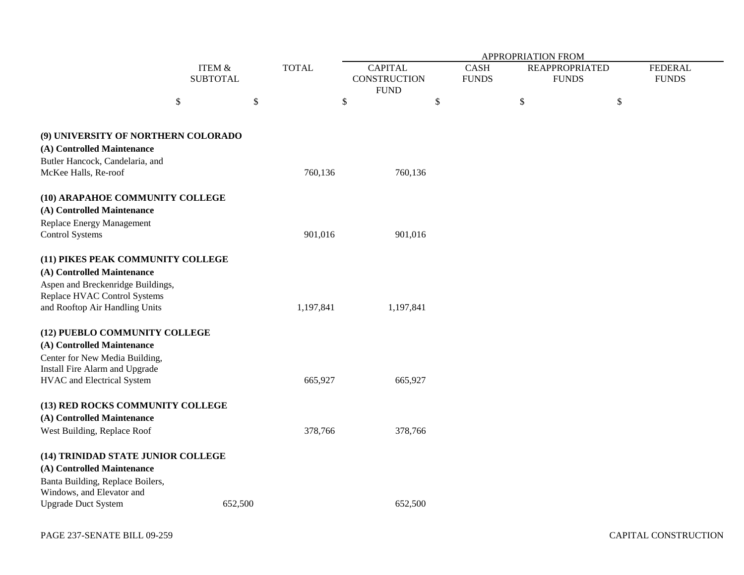|                                     |                           |         |              | APPROPRIATION FROM                            |                             |    |                                       |                                |
|-------------------------------------|---------------------------|---------|--------------|-----------------------------------------------|-----------------------------|----|---------------------------------------|--------------------------------|
|                                     | ITEM &<br><b>SUBTOTAL</b> |         | <b>TOTAL</b> | <b>CAPITAL</b><br>CONSTRUCTION<br><b>FUND</b> | <b>CASH</b><br><b>FUNDS</b> |    | <b>REAPPROPRIATED</b><br><b>FUNDS</b> | <b>FEDERAL</b><br><b>FUNDS</b> |
| \$                                  |                           | \$      |              | \$                                            | \$                          | \$ | \$                                    |                                |
| (9) UNIVERSITY OF NORTHERN COLORADO |                           |         |              |                                               |                             |    |                                       |                                |
| (A) Controlled Maintenance          |                           |         |              |                                               |                             |    |                                       |                                |
| Butler Hancock, Candelaria, and     |                           |         |              |                                               |                             |    |                                       |                                |
| McKee Halls, Re-roof                |                           |         | 760,136      | 760,136                                       |                             |    |                                       |                                |
| (10) ARAPAHOE COMMUNITY COLLEGE     |                           |         |              |                                               |                             |    |                                       |                                |
| (A) Controlled Maintenance          |                           |         |              |                                               |                             |    |                                       |                                |
| Replace Energy Management           |                           |         |              |                                               |                             |    |                                       |                                |
| <b>Control Systems</b>              |                           |         | 901,016      | 901,016                                       |                             |    |                                       |                                |
| (11) PIKES PEAK COMMUNITY COLLEGE   |                           |         |              |                                               |                             |    |                                       |                                |
| (A) Controlled Maintenance          |                           |         |              |                                               |                             |    |                                       |                                |
| Aspen and Breckenridge Buildings,   |                           |         |              |                                               |                             |    |                                       |                                |
| Replace HVAC Control Systems        |                           |         |              |                                               |                             |    |                                       |                                |
| and Rooftop Air Handling Units      |                           |         | 1,197,841    | 1,197,841                                     |                             |    |                                       |                                |
| (12) PUEBLO COMMUNITY COLLEGE       |                           |         |              |                                               |                             |    |                                       |                                |
| (A) Controlled Maintenance          |                           |         |              |                                               |                             |    |                                       |                                |
| Center for New Media Building,      |                           |         |              |                                               |                             |    |                                       |                                |
| Install Fire Alarm and Upgrade      |                           |         |              |                                               |                             |    |                                       |                                |
| HVAC and Electrical System          |                           |         | 665,927      | 665,927                                       |                             |    |                                       |                                |
| (13) RED ROCKS COMMUNITY COLLEGE    |                           |         |              |                                               |                             |    |                                       |                                |
| (A) Controlled Maintenance          |                           |         |              |                                               |                             |    |                                       |                                |
| West Building, Replace Roof         |                           |         | 378,766      | 378,766                                       |                             |    |                                       |                                |
| (14) TRINIDAD STATE JUNIOR COLLEGE  |                           |         |              |                                               |                             |    |                                       |                                |
| (A) Controlled Maintenance          |                           |         |              |                                               |                             |    |                                       |                                |
| Banta Building, Replace Boilers,    |                           |         |              |                                               |                             |    |                                       |                                |
| Windows, and Elevator and           |                           |         |              |                                               |                             |    |                                       |                                |
| <b>Upgrade Duct System</b>          |                           | 652,500 |              | 652,500                                       |                             |    |                                       |                                |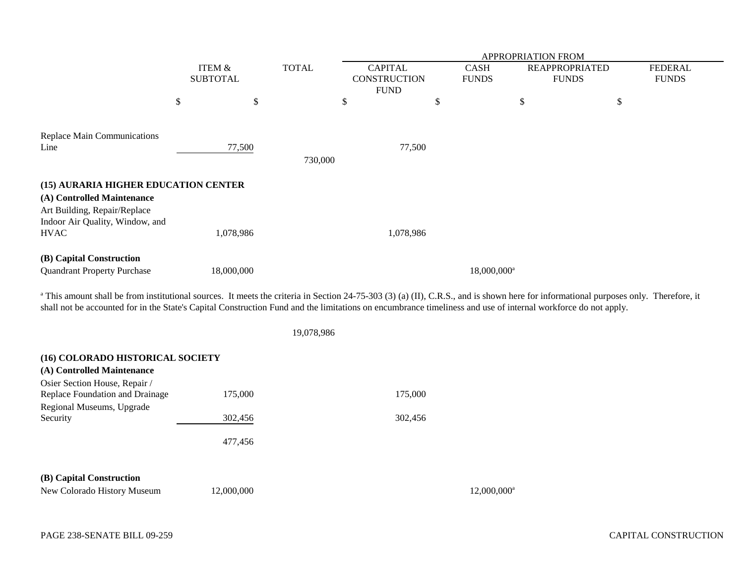|                                                                                                                                                                                                                                                                                                                                                                  | <b>ITEM &amp;</b><br><b>SUBTOTAL</b> |            |              | APPROPRIATION FROM |                                                      |    |                             |                                       |                                |
|------------------------------------------------------------------------------------------------------------------------------------------------------------------------------------------------------------------------------------------------------------------------------------------------------------------------------------------------------------------|--------------------------------------|------------|--------------|--------------------|------------------------------------------------------|----|-----------------------------|---------------------------------------|--------------------------------|
|                                                                                                                                                                                                                                                                                                                                                                  |                                      |            | <b>TOTAL</b> |                    | <b>CAPITAL</b><br><b>CONSTRUCTION</b><br><b>FUND</b> |    | <b>CASH</b><br><b>FUNDS</b> | <b>REAPPROPRIATED</b><br><b>FUNDS</b> | <b>FEDERAL</b><br><b>FUNDS</b> |
|                                                                                                                                                                                                                                                                                                                                                                  | \$                                   | \$         |              | \$                 |                                                      | \$ | $\$$                        | \$                                    |                                |
| Replace Main Communications<br>Line                                                                                                                                                                                                                                                                                                                              |                                      | 77,500     | 730,000      |                    | 77,500                                               |    |                             |                                       |                                |
| (15) AURARIA HIGHER EDUCATION CENTER                                                                                                                                                                                                                                                                                                                             |                                      |            |              |                    |                                                      |    |                             |                                       |                                |
| (A) Controlled Maintenance<br>Art Building, Repair/Replace<br>Indoor Air Quality, Window, and<br><b>HVAC</b>                                                                                                                                                                                                                                                     |                                      | 1,078,986  |              |                    | 1,078,986                                            |    |                             |                                       |                                |
| (B) Capital Construction<br><b>Quandrant Property Purchase</b>                                                                                                                                                                                                                                                                                                   |                                      | 18,000,000 |              |                    |                                                      |    | 18,000,000 <sup>a</sup>     |                                       |                                |
| <sup>a</sup> This amount shall be from institutional sources. It meets the criteria in Section 24-75-303 (3) (a) (II), C.R.S., and is shown here for informational purposes only. Therefore, it<br>shall not be accounted for in the State's Capital Construction Fund and the limitations on encumbrance timeliness and use of internal workforce do not apply. |                                      |            |              |                    |                                                      |    |                             |                                       |                                |
|                                                                                                                                                                                                                                                                                                                                                                  |                                      |            | 19,078,986   |                    |                                                      |    |                             |                                       |                                |
| (16) COLORADO HISTORICAL SOCIETY<br>(A) Controlled Maintenance                                                                                                                                                                                                                                                                                                   |                                      |            |              |                    |                                                      |    |                             |                                       |                                |
| Osier Section House, Repair /<br>Replace Foundation and Drainage                                                                                                                                                                                                                                                                                                 |                                      | 175,000    |              |                    | 175,000                                              |    |                             |                                       |                                |
| Regional Museums, Upgrade<br>Security                                                                                                                                                                                                                                                                                                                            |                                      | 302,456    |              |                    | 302,456                                              |    |                             |                                       |                                |
|                                                                                                                                                                                                                                                                                                                                                                  |                                      | 477,456    |              |                    |                                                      |    |                             |                                       |                                |
| (B) Capital Construction                                                                                                                                                                                                                                                                                                                                         |                                      |            |              |                    |                                                      |    |                             |                                       |                                |
| New Colorado History Museum                                                                                                                                                                                                                                                                                                                                      |                                      | 12,000,000 |              |                    |                                                      |    | $12,000,000$ <sup>a</sup>   |                                       |                                |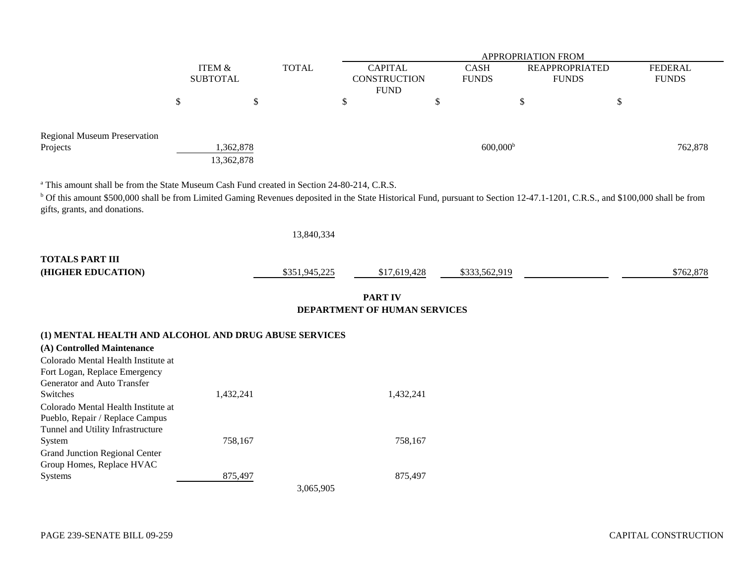|                                                                                                                                                                                           |                 |                   |              | APPROPRIATION FROM |  |                      |                       |              |                |  |
|-------------------------------------------------------------------------------------------------------------------------------------------------------------------------------------------|-----------------|-------------------|--------------|--------------------|--|----------------------|-----------------------|--------------|----------------|--|
|                                                                                                                                                                                           |                 | <b>ITEM &amp;</b> | <b>TOTAL</b> | <b>CAPITAL</b>     |  | <b>CASH</b>          | <b>REAPPROPRIATED</b> |              | <b>FEDERAL</b> |  |
|                                                                                                                                                                                           | <b>SUBTOTAL</b> |                   |              | CONSTRUCTION       |  | <b>FUNDS</b>         | <b>FUNDS</b>          | <b>FUNDS</b> |                |  |
|                                                                                                                                                                                           |                 |                   |              | <b>FUND</b>        |  |                      |                       |              |                |  |
|                                                                                                                                                                                           |                 |                   |              | ◡                  |  |                      | J٥                    |              |                |  |
| <b>Regional Museum Preservation</b><br>Projects                                                                                                                                           |                 | .362,878          |              |                    |  | 600,000 <sup>b</sup> |                       |              | 762,878        |  |
| <sup>a</sup> This amount shall be from the State Museum Cash Fund created in Section 24-80-214, C.R.S.                                                                                    |                 | 13,362,878        |              |                    |  |                      |                       |              |                |  |
| <sup>b</sup> Of this amount \$500,000 shall be from Limited Gaming Revenues deposited in the State Historical Fund, pursuant to Section 12-47.1-1201, C.R.S., and \$100,000 shall be from |                 |                   |              |                    |  |                      |                       |              |                |  |
|                                                                                                                                                                                           |                 |                   |              |                    |  |                      |                       |              |                |  |

gifts, grants, and donations.

|                                                       | 13,840,334    |                                                       |               |           |
|-------------------------------------------------------|---------------|-------------------------------------------------------|---------------|-----------|
| <b>TOTALS PART III</b><br>(HIGHER EDUCATION)          | \$351,945,225 | \$17,619,428                                          | \$333,562,919 | \$762,878 |
|                                                       |               | <b>PART IV</b><br><b>DEPARTMENT OF HUMAN SERVICES</b> |               |           |
| (1) MENTAL HEALTH AND ALCOHOL AND DRUG ABUSE SERVICES |               |                                                       |               |           |
| (A) Controlled Maintenance                            |               |                                                       |               |           |
| Colorado Mental Health Institute at                   |               |                                                       |               |           |
| Fort Logan, Replace Emergency                         |               |                                                       |               |           |
| Generator and Auto Transfer                           |               |                                                       |               |           |
| Switches                                              | 1,432,241     | 1,432,241                                             |               |           |

| Colorado Mental Health Institute at   |           |         |
|---------------------------------------|-----------|---------|
| Pueblo, Repair / Replace Campus       |           |         |
| Tunnel and Utility Infrastructure     |           |         |
| System                                | 758,167   | 758.167 |
| <b>Grand Junction Regional Center</b> |           |         |
| Group Homes, Replace HVAC             |           |         |
| Systems                               | 875,497   | 875,497 |
|                                       | 3,065,905 |         |
|                                       |           |         |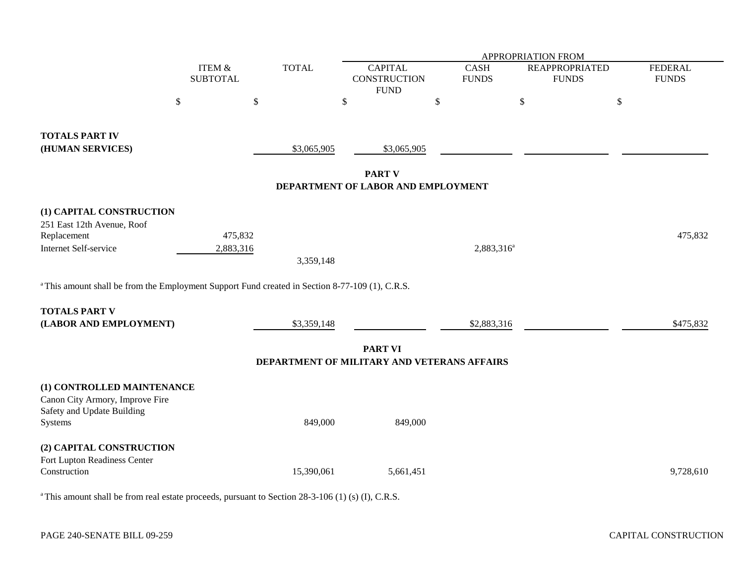|                                                                                                            |                           |              | APPROPRIATION FROM                                            |                        |                                       |                                |  |  |  |
|------------------------------------------------------------------------------------------------------------|---------------------------|--------------|---------------------------------------------------------------|------------------------|---------------------------------------|--------------------------------|--|--|--|
|                                                                                                            | ITEM &<br><b>SUBTOTAL</b> | <b>TOTAL</b> | <b>CAPITAL</b><br><b>CONSTRUCTION</b>                         | CASH<br><b>FUNDS</b>   | <b>REAPPROPRIATED</b><br><b>FUNDS</b> | <b>FEDERAL</b><br><b>FUNDS</b> |  |  |  |
| $\$$                                                                                                       | \$                        | \$           | <b>FUND</b>                                                   | $\$$                   | $\,$                                  | $\,$                           |  |  |  |
|                                                                                                            |                           |              |                                                               |                        |                                       |                                |  |  |  |
| <b>TOTALS PART IV</b><br>(HUMAN SERVICES)                                                                  |                           | \$3,065,905  | \$3,065,905                                                   |                        |                                       |                                |  |  |  |
|                                                                                                            |                           |              | <b>PART V</b>                                                 |                        |                                       |                                |  |  |  |
|                                                                                                            |                           |              | DEPARTMENT OF LABOR AND EMPLOYMENT                            |                        |                                       |                                |  |  |  |
| (1) CAPITAL CONSTRUCTION                                                                                   |                           |              |                                                               |                        |                                       |                                |  |  |  |
| 251 East 12th Avenue, Roof<br>Replacement                                                                  | 475,832                   |              |                                                               |                        |                                       | 475,832                        |  |  |  |
| Internet Self-service                                                                                      | 2,883,316                 |              |                                                               | 2,883,316 <sup>a</sup> |                                       |                                |  |  |  |
|                                                                                                            |                           | 3,359,148    |                                                               |                        |                                       |                                |  |  |  |
| <sup>a</sup> This amount shall be from the Employment Support Fund created in Section 8-77-109 (1), C.R.S. |                           |              |                                                               |                        |                                       |                                |  |  |  |
| <b>TOTALS PART V</b>                                                                                       |                           |              |                                                               |                        |                                       |                                |  |  |  |
| (LABOR AND EMPLOYMENT)                                                                                     |                           | \$3,359,148  |                                                               | \$2,883,316            |                                       | \$475,832                      |  |  |  |
|                                                                                                            |                           |              | <b>PART VI</b><br>DEPARTMENT OF MILITARY AND VETERANS AFFAIRS |                        |                                       |                                |  |  |  |
|                                                                                                            |                           |              |                                                               |                        |                                       |                                |  |  |  |
| (1) CONTROLLED MAINTENANCE<br>Canon City Armory, Improve Fire<br>Safety and Update Building                |                           |              |                                                               |                        |                                       |                                |  |  |  |
| Systems                                                                                                    |                           | 849,000      | 849,000                                                       |                        |                                       |                                |  |  |  |
| (2) CAPITAL CONSTRUCTION                                                                                   |                           |              |                                                               |                        |                                       |                                |  |  |  |
| Fort Lupton Readiness Center<br>Construction                                                               |                           | 15,390,061   | 5,661,451                                                     |                        |                                       | 9,728,610                      |  |  |  |
|                                                                                                            |                           |              |                                                               |                        |                                       |                                |  |  |  |

<sup>a</sup> This amount shall be from real estate proceeds, pursuant to Section 28-3-106 (1) (s) (I), C.R.S.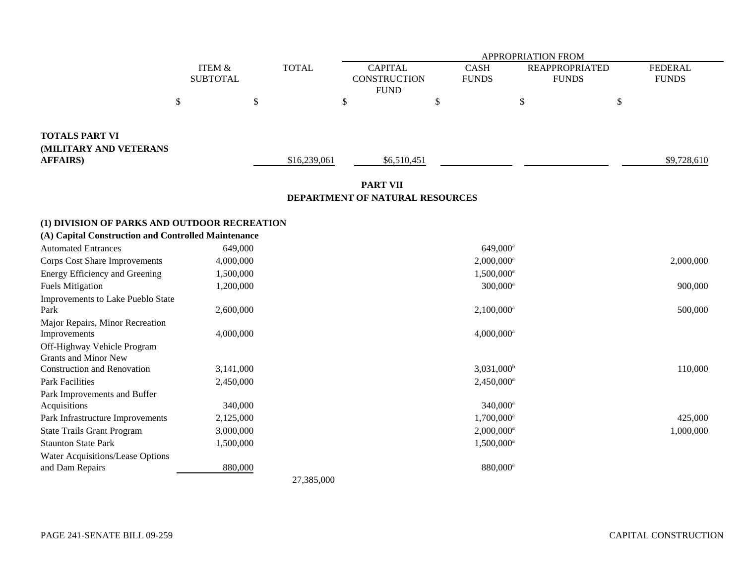| APPROPRIATION FROM<br><b>CAPITAL</b><br><b>CASH</b><br><b>FEDERAL</b><br><b>ITEM &amp;</b><br><b>TOTAL</b><br><b>REAPPROPRIATED</b><br><b>SUBTOTAL</b><br><b>CONSTRUCTION</b><br><b>FUNDS</b><br><b>FUNDS</b><br><b>FUNDS</b><br><b>FUND</b><br>$\$$<br>\$<br>\$<br>\$<br>\$<br>\$<br><b>TOTALS PART VI</b><br>(MILITARY AND VETERANS |  |
|---------------------------------------------------------------------------------------------------------------------------------------------------------------------------------------------------------------------------------------------------------------------------------------------------------------------------------------|--|
|                                                                                                                                                                                                                                                                                                                                       |  |
|                                                                                                                                                                                                                                                                                                                                       |  |
| <b>AFFAIRS</b> )<br>\$16,239,061<br>\$6,510,451<br>\$9,728,610                                                                                                                                                                                                                                                                        |  |
| <b>PART VII</b><br>DEPARTMENT OF NATURAL RESOURCES                                                                                                                                                                                                                                                                                    |  |
| (1) DIVISION OF PARKS AND OUTDOOR RECREATION                                                                                                                                                                                                                                                                                          |  |
| (A) Capital Construction and Controlled Maintenance                                                                                                                                                                                                                                                                                   |  |
| <b>Automated Entrances</b><br>649,000<br>649,000 <sup>a</sup>                                                                                                                                                                                                                                                                         |  |
| Corps Cost Share Improvements<br>4,000,000<br>$2,000,000^a$<br>2,000,000                                                                                                                                                                                                                                                              |  |
| Energy Efficiency and Greening<br>1,500,000<br>$1,500,000^a$                                                                                                                                                                                                                                                                          |  |
| <b>Fuels Mitigation</b><br>1,200,000<br>$300,000^a$<br>900,000                                                                                                                                                                                                                                                                        |  |
| Improvements to Lake Pueblo State                                                                                                                                                                                                                                                                                                     |  |
| $2,100,000$ <sup>a</sup><br>500,000<br>Park<br>2,600,000                                                                                                                                                                                                                                                                              |  |
| Major Repairs, Minor Recreation                                                                                                                                                                                                                                                                                                       |  |
| $4,000,000$ <sup>a</sup><br>Improvements<br>4,000,000                                                                                                                                                                                                                                                                                 |  |
| Off-Highway Vehicle Program                                                                                                                                                                                                                                                                                                           |  |
| <b>Grants and Minor New</b>                                                                                                                                                                                                                                                                                                           |  |
| <b>Construction and Renovation</b><br>3,141,000<br>$3,031,000$ <sup>b</sup><br>110,000                                                                                                                                                                                                                                                |  |
| <b>Park Facilities</b><br>2,450,000<br>$2,450,000^a$                                                                                                                                                                                                                                                                                  |  |
| Park Improvements and Buffer                                                                                                                                                                                                                                                                                                          |  |
| Acquisitions<br>340,000<br>$340,000^a$                                                                                                                                                                                                                                                                                                |  |
| Park Infrastructure Improvements<br>2,125,000<br>$1,700,000^a$<br>425,000                                                                                                                                                                                                                                                             |  |
| 1,000,000<br><b>State Trails Grant Program</b><br>3,000,000<br>$2,000,000^a$<br><b>Staunton State Park</b>                                                                                                                                                                                                                            |  |
| 1,500,000<br>1,500,000 <sup>a</sup>                                                                                                                                                                                                                                                                                                   |  |
| Water Acquisitions/Lease Options<br>880,000<br>880,000 <sup>a</sup><br>and Dam Repairs                                                                                                                                                                                                                                                |  |
| 27,385,000                                                                                                                                                                                                                                                                                                                            |  |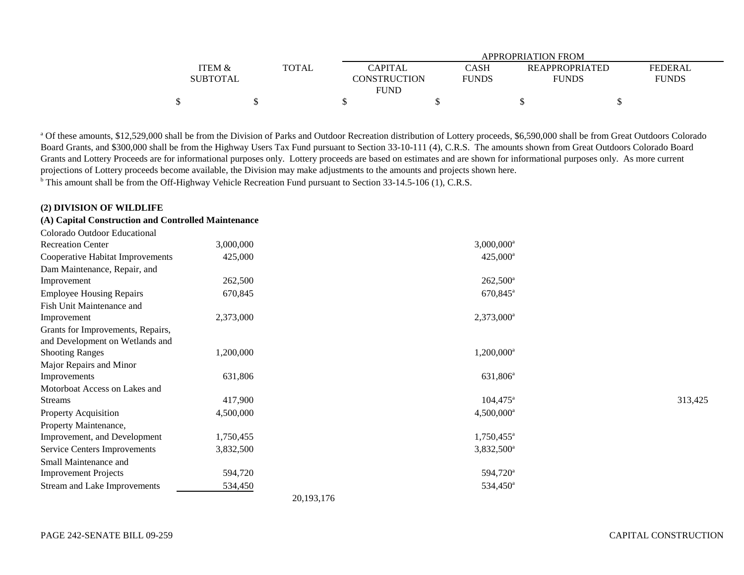|                 |              |                |              | APPROPRIATION FROM    |                |
|-----------------|--------------|----------------|--------------|-----------------------|----------------|
| ITEM &          | <b>TOTAL</b> | <b>CAPITAL</b> | CASH         | <b>REAPPROPRIATED</b> | <b>FEDERAL</b> |
| <b>SUBTOTAL</b> |              | CONSTRUCTION   | <b>FUNDS</b> | <b>FUNDS</b>          | <b>FUNDS</b>   |
|                 |              | <b>FUND</b>    |              |                       |                |
|                 |              |                |              |                       |                |

a Of these amounts, \$12,529,000 shall be from the Division of Parks and Outdoor Recreation distribution of Lottery proceeds, \$6,590,000 shall be from Great Outdoors Colorado Board Grants, and \$300,000 shall be from the Highway Users Tax Fund pursuant to Section 33-10-111 (4), C.R.S. The amounts shown from Great Outdoors Colorado Board Grants and Lottery Proceeds are for informational purposes only. Lottery proceeds are based on estimates and are shown for informational purposes only. As more current projections of Lottery proceeds become available, the Division may make adjustments to the amounts and projects shown here.

<sup>b</sup> This amount shall be from the Off-Highway Vehicle Recreation Fund pursuant to Section 33-14.5-106 (1), C.R.S.

### **(2) DIVISION OF WILDLIFE**

## **(A) Capital Construction and Controlled Maintenance**

| Colorado Outdoor Educational        |           |                          |         |
|-------------------------------------|-----------|--------------------------|---------|
| <b>Recreation Center</b>            | 3,000,000 | $3,000,000$ <sup>a</sup> |         |
| Cooperative Habitat Improvements    | 425,000   | $425,000^{\circ}$        |         |
| Dam Maintenance, Repair, and        |           |                          |         |
| Improvement                         | 262,500   | $262,500^{\circ}$        |         |
| <b>Employee Housing Repairs</b>     | 670,845   | $670,845$ <sup>a</sup>   |         |
| Fish Unit Maintenance and           |           |                          |         |
| Improvement                         | 2,373,000 | $2,373,000^a$            |         |
| Grants for Improvements, Repairs,   |           |                          |         |
| and Development on Wetlands and     |           |                          |         |
| <b>Shooting Ranges</b>              | 1,200,000 | $1,200,000^a$            |         |
| Major Repairs and Minor             |           |                          |         |
| Improvements                        | 631,806   | $631,806^{\circ}$        |         |
| Motorboat Access on Lakes and       |           |                          |         |
| <b>Streams</b>                      | 417,900   | $104,475$ <sup>a</sup>   | 313,425 |
| <b>Property Acquisition</b>         | 4,500,000 | $4,500,000$ <sup>a</sup> |         |
| Property Maintenance,               |           |                          |         |
| Improvement, and Development        | 1,750,455 | $1,750,455$ <sup>a</sup> |         |
| <b>Service Centers Improvements</b> | 3,832,500 | $3,832,500^a$            |         |
| Small Maintenance and               |           |                          |         |
| <b>Improvement Projects</b>         | 594,720   | 594,720 <sup>a</sup>     |         |
| Stream and Lake Improvements        | 534,450   | $534,450^{\circ}$        |         |
|                                     |           | 20, 193, 176             |         |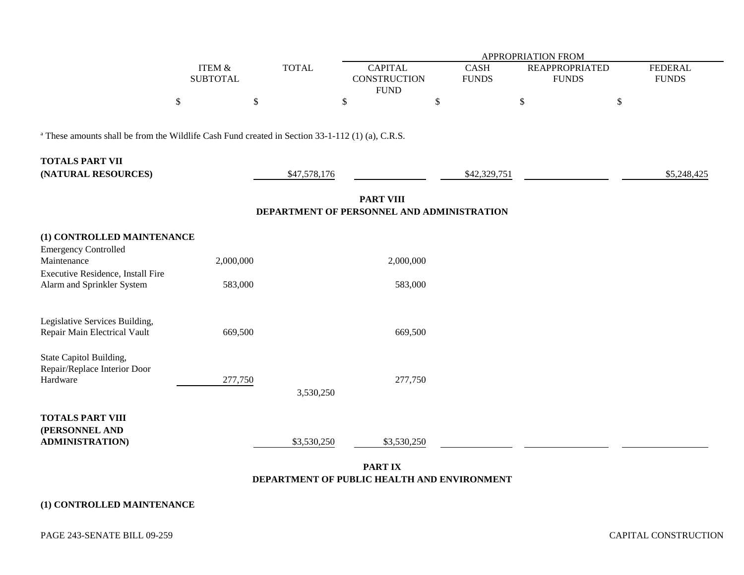|                                                                                                             |                           |              | APPROPRIATION FROM                                             |                             |                                       |                                |  |  |  |
|-------------------------------------------------------------------------------------------------------------|---------------------------|--------------|----------------------------------------------------------------|-----------------------------|---------------------------------------|--------------------------------|--|--|--|
|                                                                                                             | ITEM &<br><b>SUBTOTAL</b> | <b>TOTAL</b> | <b>CAPITAL</b><br><b>CONSTRUCTION</b><br><b>FUND</b>           | <b>CASH</b><br><b>FUNDS</b> | <b>REAPPROPRIATED</b><br><b>FUNDS</b> | <b>FEDERAL</b><br><b>FUNDS</b> |  |  |  |
|                                                                                                             | \$                        | \$           | \$                                                             | $\$$                        | $\$$                                  | $\$$                           |  |  |  |
| <sup>a</sup> These amounts shall be from the Wildlife Cash Fund created in Section 33-1-112 (1) (a), C.R.S. |                           |              |                                                                |                             |                                       |                                |  |  |  |
| <b>TOTALS PART VII</b><br>(NATURAL RESOURCES)                                                               |                           | \$47,578,176 |                                                                | \$42,329,751                |                                       | \$5,248,425                    |  |  |  |
|                                                                                                             |                           |              | <b>PART VIII</b><br>DEPARTMENT OF PERSONNEL AND ADMINISTRATION |                             |                                       |                                |  |  |  |
| (1) CONTROLLED MAINTENANCE<br><b>Emergency Controlled</b>                                                   |                           |              |                                                                |                             |                                       |                                |  |  |  |
| Maintenance                                                                                                 | 2,000,000                 |              | 2,000,000                                                      |                             |                                       |                                |  |  |  |
| Executive Residence, Install Fire<br>Alarm and Sprinkler System                                             | 583,000                   |              | 583,000                                                        |                             |                                       |                                |  |  |  |
| Legislative Services Building,<br>Repair Main Electrical Vault                                              | 669,500                   |              | 669,500                                                        |                             |                                       |                                |  |  |  |
| State Capitol Building,<br>Repair/Replace Interior Door<br>Hardware                                         | 277,750                   | 3,530,250    | 277,750                                                        |                             |                                       |                                |  |  |  |
| <b>TOTALS PART VIII</b><br>(PERSONNEL AND<br><b>ADMINISTRATION)</b>                                         |                           | \$3,530,250  | \$3,530,250                                                    |                             |                                       |                                |  |  |  |

### **PART IX DEPARTMENT OF PUBLIC HEALTH AND ENVIRONMENT**

# **(1) CONTROLLED MAINTENANCE**

PAGE 243-SENATE BILL 09-259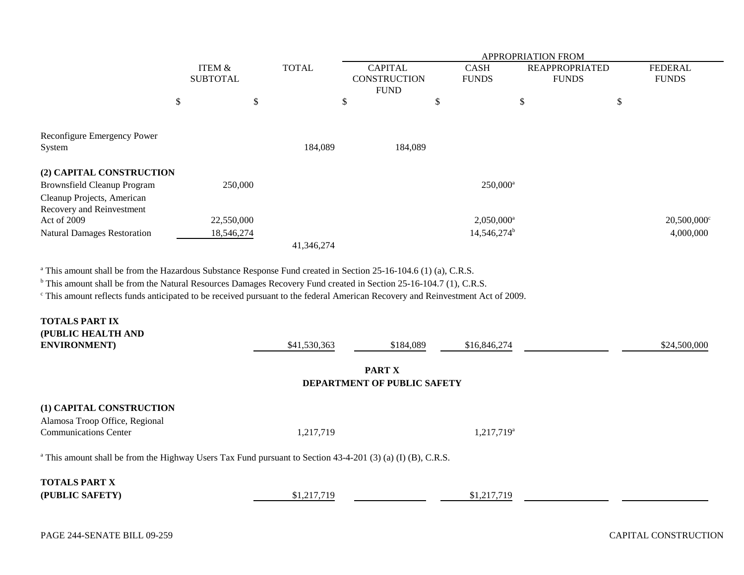|                                    |   |                 |              | <b>APPROPRIATION FROM</b> |    |                          |                       |   |                           |  |
|------------------------------------|---|-----------------|--------------|---------------------------|----|--------------------------|-----------------------|---|---------------------------|--|
|                                    |   | ITEM &          | <b>TOTAL</b> | <b>CAPITAL</b>            |    | <b>CASH</b>              | <b>REAPPROPRIATED</b> |   | <b>FEDERAL</b>            |  |
|                                    |   | <b>SUBTOTAL</b> |              | <b>CONSTRUCTION</b>       |    | <b>FUNDS</b>             | <b>FUNDS</b>          |   | <b>FUNDS</b>              |  |
|                                    |   |                 |              | <b>FUND</b>               |    |                          |                       |   |                           |  |
|                                    | D | \$              |              | \$                        | \$ |                          | \$                    | Φ |                           |  |
|                                    |   |                 |              |                           |    |                          |                       |   |                           |  |
| Reconfigure Emergency Power        |   |                 |              |                           |    |                          |                       |   |                           |  |
| System                             |   |                 | 184,089      | 184,089                   |    |                          |                       |   |                           |  |
| (2) CAPITAL CONSTRUCTION           |   |                 |              |                           |    |                          |                       |   |                           |  |
| <b>Brownsfield Cleanup Program</b> |   | 250,000         |              |                           |    | $250,000^{\rm a}$        |                       |   |                           |  |
| Cleanup Projects, American         |   |                 |              |                           |    |                          |                       |   |                           |  |
| Recovery and Reinvestment          |   |                 |              |                           |    |                          |                       |   |                           |  |
| Act of 2009                        |   | 22,550,000      |              |                           |    | $2,050,000$ <sup>a</sup> |                       |   | $20,500,000$ <sup>c</sup> |  |
| <b>Natural Damages Restoration</b> |   | 18,546,274      |              |                           |    | 14,546,274 <sup>b</sup>  |                       |   | 4,000,000                 |  |
|                                    |   |                 | 41,346,274   |                           |    |                          |                       |   |                           |  |

<sup>a</sup> This amount shall be from the Hazardous Substance Response Fund created in Section 25-16-104.6 (1) (a), C.R.S.

<sup>b</sup> This amount shall be from the Natural Resources Damages Recovery Fund created in Section 25-16-104.7 (1), C.R.S.

c This amount reflects funds anticipated to be received pursuant to the federal American Recovery and Reinvestment Act of 2009.

| <b>TOTALS PART IX</b><br>(PUBLIC HEALTH AND<br><b>ENVIRONMENT</b> )                                                    | \$41,530,363 | \$184,089                                    | \$16,846,274           | \$24,500,000 |
|------------------------------------------------------------------------------------------------------------------------|--------------|----------------------------------------------|------------------------|--------------|
|                                                                                                                        |              | <b>PART X</b><br>DEPARTMENT OF PUBLIC SAFETY |                        |              |
| (1) CAPITAL CONSTRUCTION<br>Alamosa Troop Office, Regional<br><b>Communications Center</b>                             | 1,217,719    |                                              | 1,217,719 <sup>a</sup> |              |
| <sup>a</sup> This amount shall be from the Highway Users Tax Fund pursuant to Section 43-4-201 (3) (a) (I) (B), C.R.S. |              |                                              |                        |              |
| <b>TOTALS PART X</b><br>(PUBLIC SAFETY)                                                                                | \$1,217,719  |                                              | \$1,217,719            |              |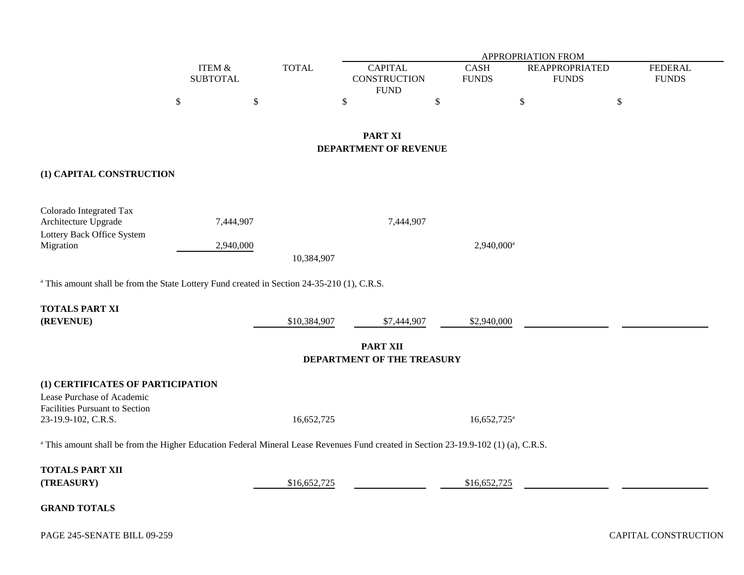|                                                                                                                                                |                                      |           |              |                                               |                             | APPROPRIATION FROM                    |                                |
|------------------------------------------------------------------------------------------------------------------------------------------------|--------------------------------------|-----------|--------------|-----------------------------------------------|-----------------------------|---------------------------------------|--------------------------------|
|                                                                                                                                                | <b>ITEM &amp;</b><br><b>SUBTOTAL</b> |           | <b>TOTAL</b> | <b>CAPITAL</b><br><b>CONSTRUCTION</b>         | <b>CASH</b><br><b>FUNDS</b> | <b>REAPPROPRIATED</b><br><b>FUNDS</b> | <b>FEDERAL</b><br><b>FUNDS</b> |
|                                                                                                                                                | $\mathbb{S}$                         | \$        |              | <b>FUND</b><br>\$                             | $\,$                        | $\mathbb{S}$                          | $\boldsymbol{\mathbb{S}}$      |
|                                                                                                                                                |                                      |           |              | <b>PART XI</b><br>DEPARTMENT OF REVENUE       |                             |                                       |                                |
| (1) CAPITAL CONSTRUCTION                                                                                                                       |                                      |           |              |                                               |                             |                                       |                                |
| Colorado Integrated Tax<br>Architecture Upgrade<br>Lottery Back Office System                                                                  |                                      | 7,444,907 |              | 7,444,907                                     |                             |                                       |                                |
| Migration                                                                                                                                      |                                      | 2,940,000 | 10,384,907   |                                               | $2,940,000^a$               |                                       |                                |
| <sup>a</sup> This amount shall be from the State Lottery Fund created in Section 24-35-210 (1), C.R.S.                                         |                                      |           |              |                                               |                             |                                       |                                |
| <b>TOTALS PART XI</b><br>(REVENUE)                                                                                                             |                                      |           | \$10,384,907 | \$7,444,907                                   | \$2,940,000                 |                                       |                                |
|                                                                                                                                                |                                      |           |              | <b>PART XII</b><br>DEPARTMENT OF THE TREASURY |                             |                                       |                                |
| (1) CERTIFICATES OF PARTICIPATION<br>Lease Purchase of Academic<br>Facilities Pursuant to Section<br>23-19.9-102, C.R.S.                       |                                      |           | 16,652,725   |                                               | $16,652,725^{\circ}$        |                                       |                                |
| <sup>a</sup> This amount shall be from the Higher Education Federal Mineral Lease Revenues Fund created in Section 23-19.9-102 (1) (a), C.R.S. |                                      |           |              |                                               |                             |                                       |                                |
| <b>TOTALS PART XII</b><br>(TREASURY)                                                                                                           |                                      |           | \$16,652,725 |                                               | \$16,652,725                |                                       |                                |
| <b>GRAND TOTALS</b>                                                                                                                            |                                      |           |              |                                               |                             |                                       |                                |
| PAGE 245-SENATE BILL 09-259                                                                                                                    |                                      |           |              |                                               |                             |                                       | CAPITAL CONSTRUCTIO            |

CAPITAL CONSTRUCTION